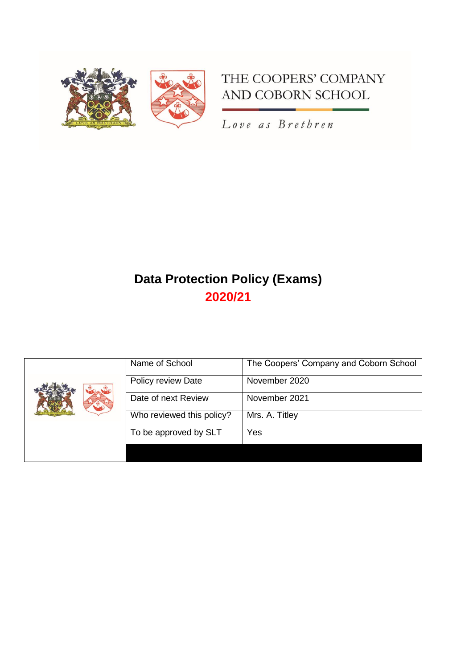



Love as Brethren

# **Data Protection Policy (Exams) 2020/21**

| Name of School            | The Coopers' Company and Coborn School |
|---------------------------|----------------------------------------|
| Policy review Date        | November 2020                          |
| Date of next Review       | November 2021                          |
| Who reviewed this policy? | Mrs. A. Titley                         |
| To be approved by SLT     | Yes                                    |
|                           |                                        |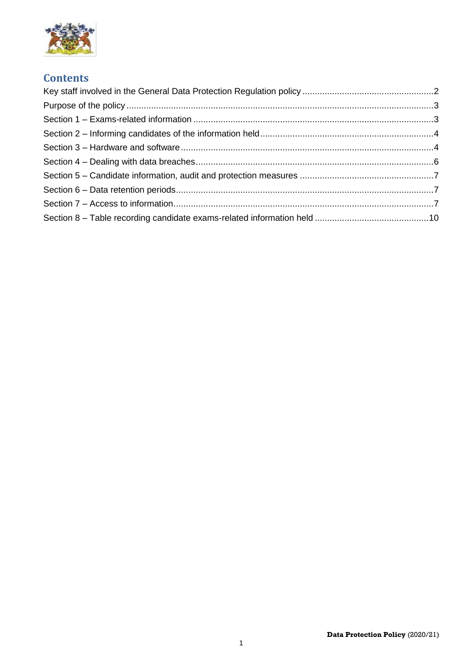

## **Contents**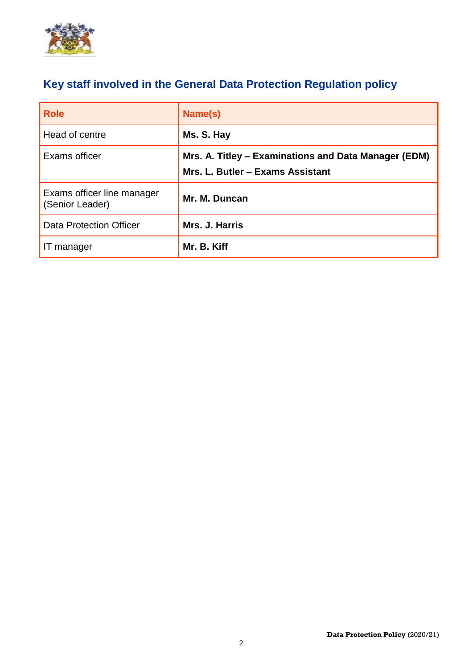

# <span id="page-2-0"></span>**Key staff involved in the General Data Protection Regulation policy**

| <b>Role</b>                                   | Name(s)                                                                                  |
|-----------------------------------------------|------------------------------------------------------------------------------------------|
| Head of centre                                | Ms. S. Hay                                                                               |
| Exams officer                                 | Mrs. A. Titley – Examinations and Data Manager (EDM)<br>Mrs. L. Butler - Exams Assistant |
| Exams officer line manager<br>(Senior Leader) | Mr. M. Duncan                                                                            |
| <b>Data Protection Officer</b>                | Mrs. J. Harris                                                                           |
| IT manager                                    | Mr. B. Kiff                                                                              |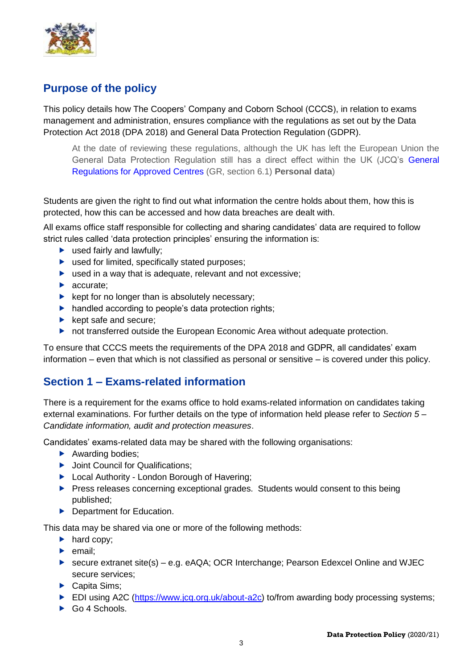

# <span id="page-3-0"></span>**Purpose of the policy**

This policy details how The Coopers' Company and Coborn School (CCCS), in relation to exams management and administration, ensures compliance with the regulations as set out by the Data Protection Act 2018 (DPA 2018) and General Data Protection Regulation (GDPR).

At the date of reviewing these regulations, although the UK has left the European Union the General Data Protection Regulation still has a direct effect within the UK (JCQ's [General](https://www.jcq.org.uk/exams-office/general-regulations/)  [Regulations for Approved](https://www.jcq.org.uk/exams-office/general-regulations/) Centres (GR, section 6.1) **Personal data**)

Students are given the right to find out what information the centre holds about them, how this is protected, how this can be accessed and how data breaches are dealt with.

All exams office staff responsible for collecting and sharing candidates' data are required to follow strict rules called 'data protection principles' ensuring the information is:

- ▶ used fairly and lawfully;
- ▶ used for limited, specifically stated purposes;
- $\triangleright$  used in a way that is adequate, relevant and not excessive;
- **accurate:**
- $\blacktriangleright$  kept for no longer than is absolutely necessary;
- handled according to people's data protection rights;
- $\blacktriangleright$  kept safe and secure:
- ▶ not transferred outside the European Economic Area without adequate protection.

To ensure that CCCS meets the requirements of the DPA 2018 and GDPR, all candidates' exam information – even that which is not classified as personal or sensitive – is covered under this policy.

### <span id="page-3-1"></span>**Section 1 – Exams-related information**

There is a requirement for the exams office to hold exams-related information on candidates taking external examinations. For further details on the type of information held please refer to *Section 5 – Candidate information, audit and protection measures*.

Candidates' exams-related data may be shared with the following organisations:

- Awarding bodies;
- ▶ Joint Council for Qualifications;
- ▶ Local Authority London Borough of Havering;
- **Press releases concerning exceptional grades. Students would consent to this being** published;
- **Department for Education.**

This data may be shared via one or more of the following methods:

- $\blacktriangleright$  hard copy;
- $\blacktriangleright$  email:
- ► secure extranet site(s) e.g. eAQA; OCR Interchange: Pearson Edexcel Online and WJEC secure services;
- Capita Sims;
- ► EDI using A2C (https://www.jcg.org.uk/about-a2c) to/from awarding body processing systems;
- Go 4 Schools.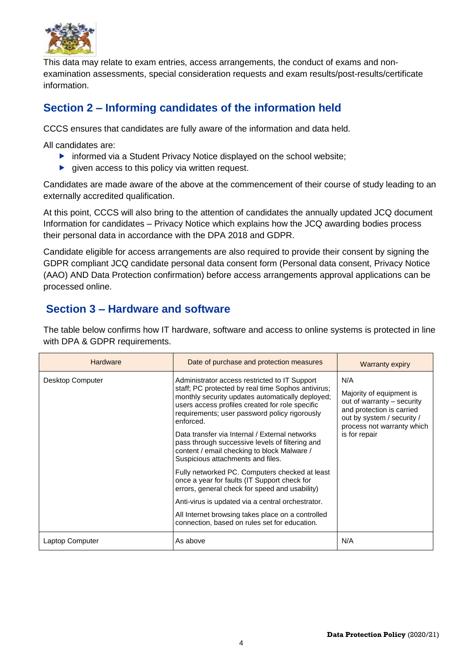

This data may relate to exam entries, access arrangements, the conduct of exams and nonexamination assessments, special consideration requests and exam results/post-results/certificate information.

# <span id="page-4-0"></span>**Section 2 – Informing candidates of the information held**

CCCS ensures that candidates are fully aware of the information and data held.

All candidates are:

- **F** informed via a Student Privacy Notice displayed on the school website;
- $\blacktriangleright$  given access to this policy via written request.

Candidates are made aware of the above at the commencement of their course of study leading to an externally accredited qualification.

At this point, CCCS will also bring to the attention of candidates the annually updated JCQ document Information for candidates – Privacy Notice which explains how the JCQ awarding bodies process their personal data in accordance with the DPA 2018 and GDPR.

Candidate eligible for access arrangements are also required to provide their consent by signing the GDPR compliant JCQ candidate personal data consent form (Personal data consent, Privacy Notice (AAO) AND Data Protection confirmation) before access arrangements approval applications can be processed online.

# <span id="page-4-1"></span>**Section 3 – Hardware and software**

The table below confirms how IT hardware, software and access to online systems is protected in line with DPA & GDPR requirements.

| <b>Hardware</b>  | Date of purchase and protection measures                                                                                                                                                                                                                                                                                                                                                                                                                          | <b>Warranty expiry</b>                                                                                                                                                  |
|------------------|-------------------------------------------------------------------------------------------------------------------------------------------------------------------------------------------------------------------------------------------------------------------------------------------------------------------------------------------------------------------------------------------------------------------------------------------------------------------|-------------------------------------------------------------------------------------------------------------------------------------------------------------------------|
| Desktop Computer | Administrator access restricted to IT Support<br>staff; PC protected by real time Sophos antivirus;<br>monthly security updates automatically deployed;<br>users access profiles created for role specific<br>requirements; user password policy rigorously<br>enforced.<br>Data transfer via Internal / External networks<br>pass through successive levels of filtering and<br>content / email checking to block Malware /<br>Suspicious attachments and files. | N/A<br>Majority of equipment is<br>out of warranty - security<br>and protection is carried<br>out by system / security /<br>process not warranty which<br>is for repair |
|                  | Fully networked PC. Computers checked at least<br>once a year for faults (IT Support check for<br>errors, general check for speed and usability)                                                                                                                                                                                                                                                                                                                  |                                                                                                                                                                         |
|                  | Anti-virus is updated via a central orchestrator.                                                                                                                                                                                                                                                                                                                                                                                                                 |                                                                                                                                                                         |
|                  | All Internet browsing takes place on a controlled<br>connection, based on rules set for education.                                                                                                                                                                                                                                                                                                                                                                |                                                                                                                                                                         |
| Laptop Computer  | As above                                                                                                                                                                                                                                                                                                                                                                                                                                                          | N/A                                                                                                                                                                     |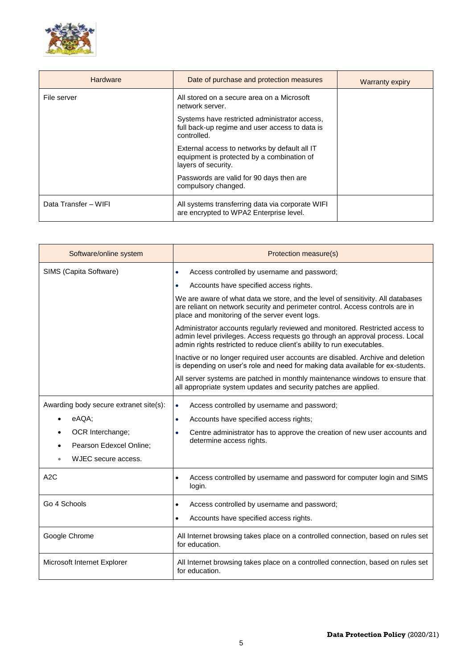

| <b>Hardware</b>      | Date of purchase and protection measures                                                                           | <b>Warranty expiry</b> |
|----------------------|--------------------------------------------------------------------------------------------------------------------|------------------------|
| File server          | All stored on a secure area on a Microsoft<br>network server.                                                      |                        |
|                      | Systems have restricted administrator access,<br>full back-up regime and user access to data is<br>controlled.     |                        |
|                      | External access to networks by default all IT<br>equipment is protected by a combination of<br>layers of security. |                        |
|                      | Passwords are valid for 90 days then are<br>compulsory changed.                                                    |                        |
| Data Transfer - WIFI | All systems transferring data via corporate WIFI<br>are encrypted to WPA2 Enterprise level.                        |                        |

| Software/online system                 | Protection measure(s)                                                                                                                                                                                                                    |
|----------------------------------------|------------------------------------------------------------------------------------------------------------------------------------------------------------------------------------------------------------------------------------------|
| SIMS (Capita Software)                 | Access controlled by username and password;<br>٠                                                                                                                                                                                         |
|                                        | Accounts have specified access rights.<br>٠                                                                                                                                                                                              |
|                                        | We are aware of what data we store, and the level of sensitivity. All databases<br>are reliant on network security and perimeter control. Access controls are in<br>place and monitoring of the server event logs.                       |
|                                        | Administrator accounts regularly reviewed and monitored. Restricted access to<br>admin level privileges. Access requests go through an approval process. Local<br>admin rights restricted to reduce client's ability to run executables. |
|                                        | Inactive or no longer required user accounts are disabled. Archive and deletion<br>is depending on user's role and need for making data available for ex-students.                                                                       |
|                                        | All server systems are patched in monthly maintenance windows to ensure that<br>all appropriate system updates and security patches are applied.                                                                                         |
| Awarding body secure extranet site(s): | Access controlled by username and password;<br>$\bullet$                                                                                                                                                                                 |
| eAQA:                                  | Accounts have specified access rights;<br>$\bullet$                                                                                                                                                                                      |
| OCR Interchange;                       | Centre administrator has to approve the creation of new user accounts and<br>٠                                                                                                                                                           |
| Pearson Edexcel Online:                | determine access rights.                                                                                                                                                                                                                 |
| WJEC secure access.                    |                                                                                                                                                                                                                                          |
| A2C                                    | Access controlled by username and password for computer login and SIMS<br>login.                                                                                                                                                         |
| Go 4 Schools                           | Access controlled by username and password;<br>٠                                                                                                                                                                                         |
|                                        | Accounts have specified access rights.<br>$\bullet$                                                                                                                                                                                      |
| Google Chrome                          | All Internet browsing takes place on a controlled connection, based on rules set<br>for education.                                                                                                                                       |
| Microsoft Internet Explorer            | All Internet browsing takes place on a controlled connection, based on rules set<br>for education.                                                                                                                                       |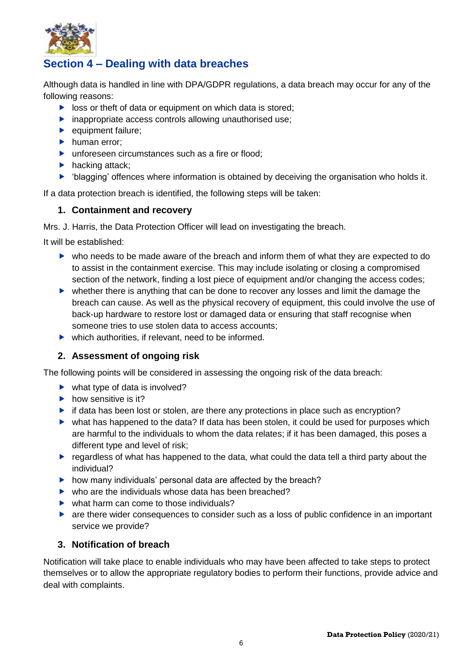

# <span id="page-6-0"></span>**Section 4 – Dealing with data breaches**

Although data is handled in line with DPA/GDPR regulations, a data breach may occur for any of the following reasons:

- $\triangleright$  loss or theft of data or equipment on which data is stored;
- $\blacktriangleright$  inappropriate access controls allowing unauthorised use;
- equipment failure;
- $\blacktriangleright$  human error;
- ▶ unforeseen circumstances such as a fire or flood:
- $\blacktriangleright$  hacking attack;
- 'blagging' offences where information is obtained by deceiving the organisation who holds it.

If a data protection breach is identified, the following steps will be taken:

#### **1. Containment and recovery**

Mrs. J. Harris, the Data Protection Officer will lead on investigating the breach.

It will be established:

- who needs to be made aware of the breach and inform them of what they are expected to do to assist in the containment exercise. This may include isolating or closing a compromised section of the network, finding a lost piece of equipment and/or changing the access codes;
- whether there is anything that can be done to recover any losses and limit the damage the breach can cause. As well as the physical recovery of equipment, this could involve the use of back-up hardware to restore lost or damaged data or ensuring that staff recognise when someone tries to use stolen data to access accounts;
- $\blacktriangleright$  which authorities, if relevant, need to be informed.

#### **2. Assessment of ongoing risk**

The following points will be considered in assessing the ongoing risk of the data breach:

- $\blacktriangleright$  what type of data is involved?
- $\blacktriangleright$  how sensitive is it?
- $\triangleright$  if data has been lost or stolen, are there any protections in place such as encryption?
- what has happened to the data? If data has been stolen, it could be used for purposes which are harmful to the individuals to whom the data relates; if it has been damaged, this poses a different type and level of risk;
- **P** regardless of what has happened to the data, what could the data tell a third party about the individual?
- $\blacktriangleright$  how many individuals' personal data are affected by the breach?
- $\blacktriangleright$  who are the individuals whose data has been breached?
- $\blacktriangleright$  what harm can come to those individuals?
- are there wider consequences to consider such as a loss of public confidence in an important service we provide?

#### **3. Notification of breach**

Notification will take place to enable individuals who may have been affected to take steps to protect themselves or to allow the appropriate regulatory bodies to perform their functions, provide advice and deal with complaints.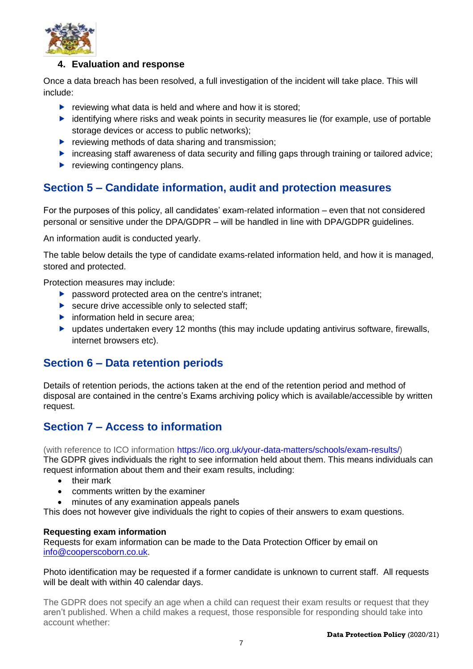

#### **4. Evaluation and response**

Once a data breach has been resolved, a full investigation of the incident will take place. This will include:

- reviewing what data is held and where and how it is stored:
- $\blacktriangleright$  identifying where risks and weak points in security measures lie (for example, use of portable storage devices or access to public networks);
- $\blacktriangleright$  reviewing methods of data sharing and transmission;
- increasing staff awareness of data security and filling gaps through training or tailored advice;
- $\blacktriangleright$  reviewing contingency plans.

## <span id="page-7-0"></span>**Section 5 – Candidate information, audit and protection measures**

For the purposes of this policy, all candidates' exam-related information – even that not considered personal or sensitive under the DPA/GDPR – will be handled in line with DPA/GDPR guidelines.

An information audit is conducted yearly.

The table below details the type of candidate exams-related information held, and how it is managed, stored and protected.

Protection measures may include:

- **P** password protected area on the centre's intranet;
- $\blacktriangleright$  secure drive accessible only to selected staff;
- $\blacktriangleright$  information held in secure area;
- updates undertaken every 12 months (this may include updating antivirus software, firewalls, internet browsers etc).

### <span id="page-7-1"></span>**Section 6 – Data retention periods**

Details of retention periods, the actions taken at the end of the retention period and method of disposal are contained in the centre's Exams archiving policy which is available/accessible by written request.

### <span id="page-7-2"></span>**Section 7 – Access to information**

(with reference to ICO information [https://ico.org.uk/your-data-matters/schools/exam-results/\)](https://ico.org.uk/your-data-matters/schools/exam-results/)

The GDPR gives individuals the right to see information held about them. This means individuals can request information about them and their exam results, including:

- their mark
- comments written by the examiner
- minutes of any examination appeals panels

This does not however give individuals the right to copies of their answers to exam questions.

#### **Requesting exam information**

Requests for exam information can be made to the Data Protection Officer by email on [info@cooperscoborn.co.uk.](mailto:info@cooperscoborn.co.uk)

#### Photo identification may be requested if a former candidate is unknown to current staff. All requests will be dealt with within 40 calendar days.

The GDPR does not specify an age when a child can request their exam results or request that they aren't published. When a child makes a request, those responsible for responding should take into account whether: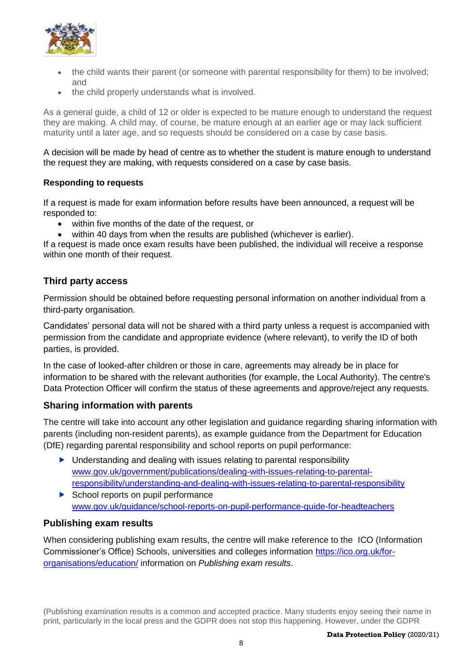

- the child wants their parent (or someone with parental responsibility for them) to be involved; and
- the child properly understands what is involved.

As a general guide, a child of 12 or older is expected to be mature enough to understand the request they are making. A child may, of course, be mature enough at an earlier age or may lack sufficient maturity until a later age, and so requests should be considered on a case by case basis.

A decision will be made by head of centre as to whether the student is mature enough to understand the request they are making, with requests considered on a case by case basis.

#### **Responding to requests**

If a request is made for exam information before results have been announced, a request will be responded to:

- within five months of the date of the request, or
- within 40 days from when the results are published (whichever is earlier).

If a request is made once exam results have been published, the individual will receive a response within one month of their request.

#### **Third party access**

Permission should be obtained before requesting personal information on another individual from a third-party organisation.

Candidates' personal data will not be shared with a third party unless a request is accompanied with permission from the candidate and appropriate evidence (where relevant), to verify the ID of both parties, is provided.

In the case of looked-after children or those in care, agreements may already be in place for information to be shared with the relevant authorities (for example, the Local Authority). The centre's Data Protection Officer will confirm the status of these agreements and approve/reject any requests.

#### **Sharing information with parents**

The centre will take into account any other legislation and guidance regarding sharing information with parents (including non-resident parents), as example guidance from the Department for Education (DfE) regarding parental responsibility and school reports on pupil performance:

- ▶ Understanding and dealing with issues relating to parental responsibility [www.gov.uk/government/publications/dealing-with-issues-relating-to-parental](https://www.gov.uk/government/publications/dealing-with-issues-relating-to-parental-responsibility/understanding-and-dealing-with-issues-relating-to-parental-responsibility)[responsibility/understanding-and-dealing-with-issues-relating-to-parental-responsibility](https://www.gov.uk/government/publications/dealing-with-issues-relating-to-parental-responsibility/understanding-and-dealing-with-issues-relating-to-parental-responsibility)
- $\triangleright$  School reports on pupil performance [www.gov.uk/guidance/school-reports-on-pupil-performance-guide-for-headteachers](http://www.gov.uk/guidance/school-reports-on-pupil-performance-guide-for-headteachers)

#### **Publishing exam results**

When considering publishing exam results, the centre will make reference to the ICO (Information Commissioner's Office) Schools, universities and colleges information [https://ico.org.uk/for](https://ico.org.uk/for-organisations/education/)[organisations/education/](https://ico.org.uk/for-organisations/education/) information on *Publishing exam results*.

(Publishing examination results is a common and accepted practice. Many students enjoy seeing their name in print, particularly in the local press and the GDPR does not stop this happening. However, under the GDPR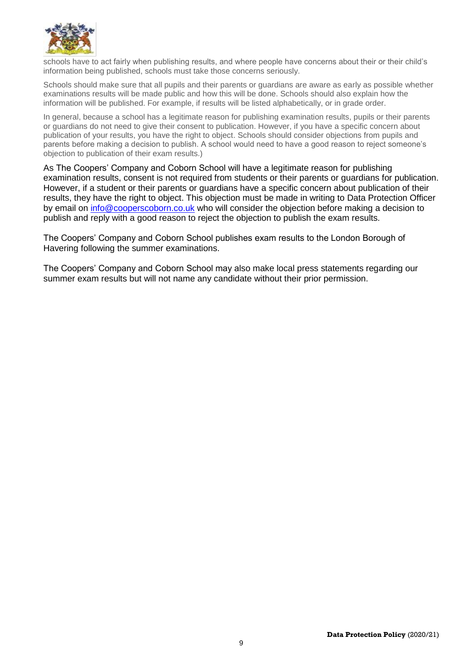

schools have to act fairly when publishing results, and where people have concerns about their or their child's information being published, schools must take those concerns seriously.

Schools should make sure that all pupils and their parents or guardians are aware as early as possible whether examinations results will be made public and how this will be done. Schools should also explain how the information will be published. For example, if results will be listed alphabetically, or in grade order.

In general, because a school has a legitimate reason for publishing examination results, pupils or their parents or guardians do not need to give their consent to publication. However, if you have a specific concern about publication of your results, you have the right to object. Schools should consider objections from pupils and parents before making a decision to publish. A school would need to have a good reason to reject someone's objection to publication of their exam results.)

As The Coopers' Company and Coborn School will have a legitimate reason for publishing examination results, consent is not required from students or their parents or guardians for publication. However, if a student or their parents or guardians have a specific concern about publication of their results, they have the right to object. This objection must be made in writing to Data Protection Officer by email on [info@cooperscoborn.co.uk](mailto:info@cooperscoborn.co.uk) who will consider the objection before making a decision to publish and reply with a good reason to reject the objection to publish the exam results.

The Coopers' Company and Coborn School publishes exam results to the London Borough of Havering following the summer examinations.

The Coopers' Company and Coborn School may also make local press statements regarding our summer exam results but will not name any candidate without their prior permission.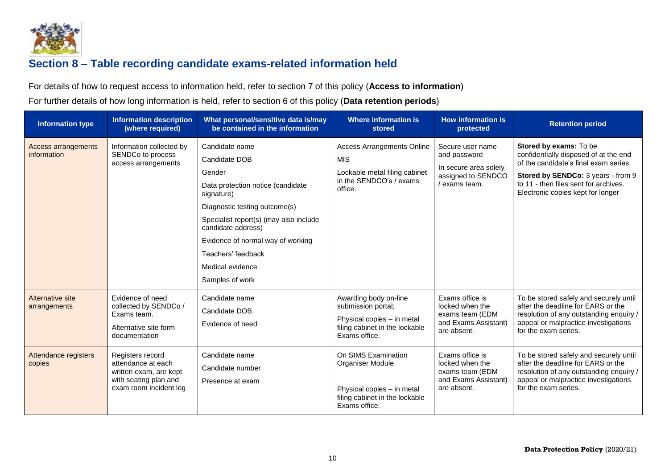

# **Section 8 – Table recording candidate exams-related information held**

For details of how to request access to information held, refer to section 7 of this policy (**Access to information**)

For further details of how long information is held, refer to section 6 of this policy (**Data retention periods**)

<span id="page-10-0"></span>

| <b>Information type</b>                   | <b>Information description</b><br>(where required)                                                                  | What personal/sensitive data is/may<br>be contained in the information                                                                                                                                                                                                                          | Where information is<br>stored                                                                                               | <b>How information is</b><br>protected                                                           | <b>Retention period</b>                                                                                                                                                                                                      |
|-------------------------------------------|---------------------------------------------------------------------------------------------------------------------|-------------------------------------------------------------------------------------------------------------------------------------------------------------------------------------------------------------------------------------------------------------------------------------------------|------------------------------------------------------------------------------------------------------------------------------|--------------------------------------------------------------------------------------------------|------------------------------------------------------------------------------------------------------------------------------------------------------------------------------------------------------------------------------|
| <b>Access arrangements</b><br>information | Information collected by<br>SENDCo to process<br>access arrangements                                                | Candidate name<br>Candidate DOB<br>Gender<br>Data protection notice (candidate<br>signature)<br>Diagnostic testing outcome(s)<br>Specialist report(s) (may also include<br>candidate address)<br>Evidence of normal way of working<br>Teachers' feedback<br>Medical evidence<br>Samples of work | <b>Access Arrangements Online</b><br><b>MIS</b><br>Lockable metal filing cabinet<br>in the SENDCO's / exams<br>office.       | Secure user name<br>and password<br>In secure area solely<br>assigned to SENDCO<br>/ exams team. | Stored by exams: To be<br>confidentially disposed of at the end<br>of the candidate's final exam series.<br>Stored by SENDCo: 3 years - from 9<br>to 11 - then files sent for archives.<br>Electronic copies kept for longer |
| Alternative site<br>arrangements          | Evidence of need<br>collected by SENDCo /<br>Exams team.<br>Alternative site form<br>documentation                  | Candidate name<br>Candidate DOB<br>Evidence of need                                                                                                                                                                                                                                             | Awarding body on-line<br>submission portal;<br>Physical copies - in metal<br>filing cabinet in the lockable<br>Exams office. | Exams office is<br>locked when the<br>exams team (EDM<br>and Exams Assistant)<br>are absent.     | To be stored safely and securely until<br>after the deadline for EARS or the<br>resolution of any outstanding enquiry /<br>appeal or malpractice investigations<br>for the exam series.                                      |
| Attendance registers<br>copies            | Registers record<br>attendance at each<br>written exam, are kept<br>with seating plan and<br>exam room incident log | Candidate name<br>Candidate number<br>Presence at exam                                                                                                                                                                                                                                          | On SIMS Examination<br>Organiser Module<br>Physical copies - in metal<br>filing cabinet in the lockable<br>Exams office.     | Exams office is<br>locked when the<br>exams team (EDM<br>and Exams Assistant)<br>are absent.     | To be stored safely and securely until<br>after the deadline for EARS or the<br>resolution of any outstanding enquiry /<br>appeal or malpractice investigations<br>for the exam series.                                      |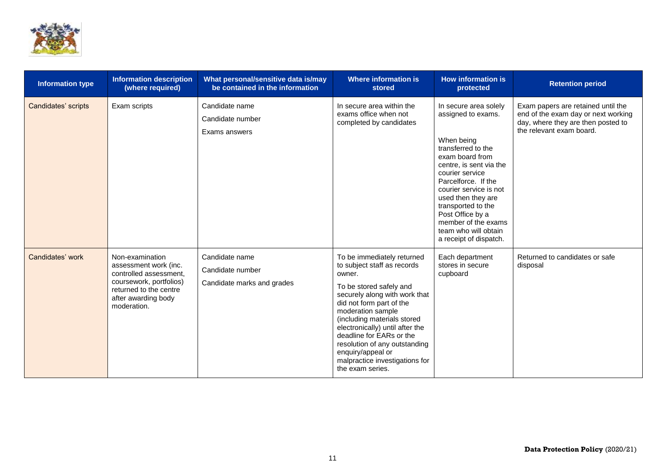

| <b>Information type</b> | <b>Information description</b><br>(where required)                                                                                                            | What personal/sensitive data is/may<br>be contained in the information | <b>Where information is</b><br>stored                                                                                                                                                                                                                                                                                                                                                      | <b>How information is</b><br>protected                                                                                                                                                                                                                                                                                                     | <b>Retention period</b>                                                                                                                     |
|-------------------------|---------------------------------------------------------------------------------------------------------------------------------------------------------------|------------------------------------------------------------------------|--------------------------------------------------------------------------------------------------------------------------------------------------------------------------------------------------------------------------------------------------------------------------------------------------------------------------------------------------------------------------------------------|--------------------------------------------------------------------------------------------------------------------------------------------------------------------------------------------------------------------------------------------------------------------------------------------------------------------------------------------|---------------------------------------------------------------------------------------------------------------------------------------------|
| Candidates' scripts     | Exam scripts                                                                                                                                                  | Candidate name<br>Candidate number<br>Exams answers                    | In secure area within the<br>exams office when not<br>completed by candidates                                                                                                                                                                                                                                                                                                              | In secure area solely<br>assigned to exams.<br>When being<br>transferred to the<br>exam board from<br>centre, is sent via the<br>courier service<br>Parcelforce. If the<br>courier service is not<br>used then they are<br>transported to the<br>Post Office by a<br>member of the exams<br>team who will obtain<br>a receipt of dispatch. | Exam papers are retained until the<br>end of the exam day or next working<br>day, where they are then posted to<br>the relevant exam board. |
| Candidates' work        | Non-examination<br>assessment work (inc.<br>controlled assessment.<br>coursework, portfolios)<br>returned to the centre<br>after awarding body<br>moderation. | Candidate name<br>Candidate number<br>Candidate marks and grades       | To be immediately returned<br>to subject staff as records<br>owner.<br>To be stored safely and<br>securely along with work that<br>did not form part of the<br>moderation sample<br>(including materials stored<br>electronically) until after the<br>deadline for EARs or the<br>resolution of any outstanding<br>enquiry/appeal or<br>malpractice investigations for<br>the exam series. | Each department<br>stores in secure<br>cupboard                                                                                                                                                                                                                                                                                            | Returned to candidates or safe<br>disposal                                                                                                  |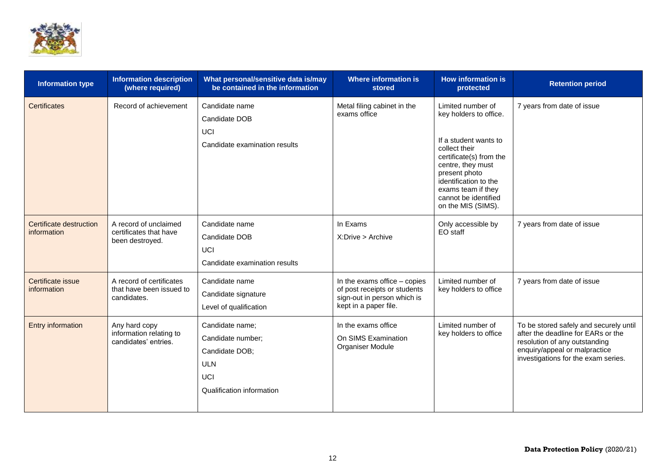

| <b>Information type</b>                | <b>Information description</b><br>(where required)                  | What personal/sensitive data is/may<br>be contained in the information                                          | <b>Where information is</b><br>stored                                                                                  | <b>How information is</b><br>protected                                                                                                                                                                                                              | <b>Retention period</b>                                                                                                                                                               |
|----------------------------------------|---------------------------------------------------------------------|-----------------------------------------------------------------------------------------------------------------|------------------------------------------------------------------------------------------------------------------------|-----------------------------------------------------------------------------------------------------------------------------------------------------------------------------------------------------------------------------------------------------|---------------------------------------------------------------------------------------------------------------------------------------------------------------------------------------|
| <b>Certificates</b>                    | Record of achievement                                               | Candidate name<br>Candidate DOB<br>UCI<br>Candidate examination results                                         | Metal filing cabinet in the<br>exams office                                                                            | Limited number of<br>key holders to office.<br>If a student wants to<br>collect their<br>certificate(s) from the<br>centre, they must<br>present photo<br>identification to the<br>exams team if they<br>cannot be identified<br>on the MIS (SIMS). | 7 years from date of issue                                                                                                                                                            |
| Certificate destruction<br>information | A record of unclaimed<br>certificates that have<br>been destroyed.  | Candidate name<br>Candidate DOB<br>UCI<br>Candidate examination results                                         | In Exams<br>X:Drive > Archive                                                                                          | Only accessible by<br>EO staff                                                                                                                                                                                                                      | 7 years from date of issue                                                                                                                                                            |
| Certificate issue<br>information       | A record of certificates<br>that have been issued to<br>candidates. | Candidate name<br>Candidate signature<br>Level of qualification                                                 | In the exams office $-$ copies<br>of post receipts or students<br>sign-out in person which is<br>kept in a paper file. | Limited number of<br>key holders to office                                                                                                                                                                                                          | 7 years from date of issue                                                                                                                                                            |
| Entry information                      | Any hard copy<br>information relating to<br>candidates' entries.    | Candidate name;<br>Candidate number;<br>Candidate DOB;<br><b>ULN</b><br><b>UCI</b><br>Qualification information | In the exams office<br>On SIMS Examination<br>Organiser Module                                                         | Limited number of<br>key holders to office                                                                                                                                                                                                          | To be stored safely and securely until<br>after the deadline for EARs or the<br>resolution of any outstanding<br>enquiry/appeal or malpractice<br>investigations for the exam series. |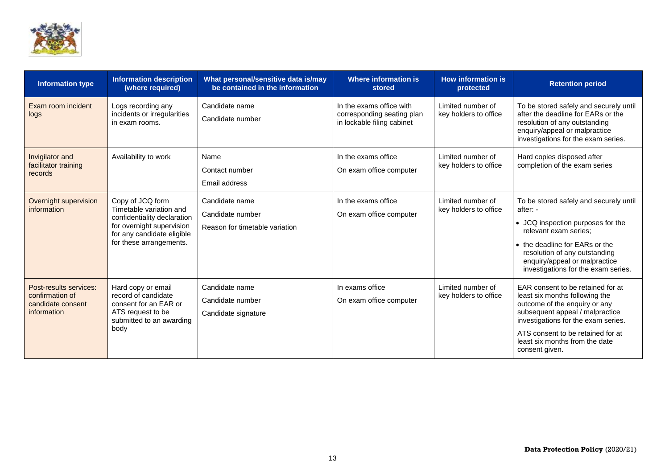

| <b>Information type</b>                                                       | <b>Information description</b><br>(where required)                                                                                                               | What personal/sensitive data is/may<br>be contained in the information | Where information is<br>stored                                                       | <b>How information is</b><br>protected     | <b>Retention period</b>                                                                                                                                                                                                                                                 |
|-------------------------------------------------------------------------------|------------------------------------------------------------------------------------------------------------------------------------------------------------------|------------------------------------------------------------------------|--------------------------------------------------------------------------------------|--------------------------------------------|-------------------------------------------------------------------------------------------------------------------------------------------------------------------------------------------------------------------------------------------------------------------------|
| Exam room incident<br>logs                                                    | Logs recording any<br>incidents or irregularities<br>in exam rooms.                                                                                              | Candidate name<br>Candidate number                                     | In the exams office with<br>corresponding seating plan<br>in lockable filing cabinet | Limited number of<br>key holders to office | To be stored safely and securely until<br>after the deadline for EARs or the<br>resolution of any outstanding<br>enquiry/appeal or malpractice<br>investigations for the exam series.                                                                                   |
| Invigilator and<br>facilitator training<br>records                            | Availability to work                                                                                                                                             | Name<br>Contact number<br>Email address                                | In the exams office<br>On exam office computer                                       | Limited number of<br>key holders to office | Hard copies disposed after<br>completion of the exam series                                                                                                                                                                                                             |
| Overnight supervision<br>information                                          | Copy of JCQ form<br>Timetable variation and<br>confidentiality declaration<br>for overnight supervision<br>for any candidate eligible<br>for these arrangements. | Candidate name<br>Candidate number<br>Reason for timetable variation   | In the exams office<br>On exam office computer                                       | Limited number of<br>key holders to office | To be stored safely and securely until<br>after: -<br>• JCQ inspection purposes for the<br>relevant exam series;<br>• the deadline for EARs or the<br>resolution of any outstanding<br>enquiry/appeal or malpractice<br>investigations for the exam series.             |
| Post-results services:<br>confirmation of<br>candidate consent<br>information | Hard copy or email<br>record of candidate<br>consent for an EAR or<br>ATS request to be<br>submitted to an awarding<br>body                                      | Candidate name<br>Candidate number<br>Candidate signature              | In exams office<br>On exam office computer                                           | Limited number of<br>key holders to office | EAR consent to be retained for at<br>least six months following the<br>outcome of the enquiry or any<br>subsequent appeal / malpractice<br>investigations for the exam series.<br>ATS consent to be retained for at<br>least six months from the date<br>consent given. |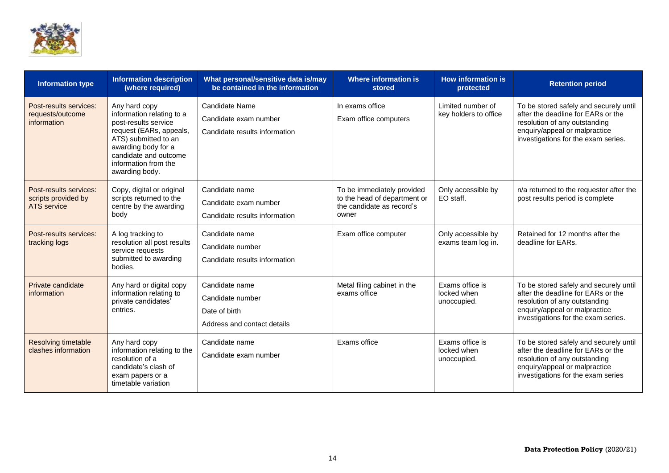

| <b>Information type</b>                                      | <b>Information description</b><br>(where required)                                                                                                                                                              | What personal/sensitive data is/may<br>be contained in the information             | <b>Where information is</b><br>stored                                                            | <b>How information is</b><br>protected        | <b>Retention period</b>                                                                                                                                                               |
|--------------------------------------------------------------|-----------------------------------------------------------------------------------------------------------------------------------------------------------------------------------------------------------------|------------------------------------------------------------------------------------|--------------------------------------------------------------------------------------------------|-----------------------------------------------|---------------------------------------------------------------------------------------------------------------------------------------------------------------------------------------|
| Post-results services:<br>requests/outcome<br>information    | Any hard copy<br>information relating to a<br>post-results service<br>request (EARs, appeals,<br>ATS) submitted to an<br>awarding body for a<br>candidate and outcome<br>information from the<br>awarding body. | Candidate Name<br>Candidate exam number<br>Candidate results information           | In exams office<br>Exam office computers                                                         | Limited number of<br>key holders to office    | To be stored safely and securely until<br>after the deadline for EARs or the<br>resolution of any outstanding<br>enquiry/appeal or malpractice<br>investigations for the exam series. |
| Post-results services:<br>scripts provided by<br>ATS service | Copy, digital or original<br>scripts returned to the<br>centre by the awarding<br>body                                                                                                                          | Candidate name<br>Candidate exam number<br>Candidate results information           | To be immediately provided<br>to the head of department or<br>the candidate as record's<br>owner | Only accessible by<br>EO staff.               | n/a returned to the requester after the<br>post results period is complete                                                                                                            |
| Post-results services:<br>tracking logs                      | A log tracking to<br>resolution all post results<br>service requests<br>submitted to awarding<br>bodies.                                                                                                        | Candidate name<br>Candidate number<br>Candidate results information                | Exam office computer                                                                             | Only accessible by<br>exams team log in.      | Retained for 12 months after the<br>deadline for EARs.                                                                                                                                |
| Private candidate<br>information                             | Any hard or digital copy<br>information relating to<br>private candidates'<br>entries.                                                                                                                          | Candidate name<br>Candidate number<br>Date of birth<br>Address and contact details | Metal filing cabinet in the<br>exams office                                                      | Exams office is<br>locked when<br>unoccupied. | To be stored safely and securely until<br>after the deadline for EARs or the<br>resolution of any outstanding<br>enquiry/appeal or malpractice<br>investigations for the exam series. |
| <b>Resolving timetable</b><br>clashes information            | Any hard copy<br>information relating to the<br>resolution of a<br>candidate's clash of<br>exam papers or a<br>timetable variation                                                                              | Candidate name<br>Candidate exam number                                            | Exams office                                                                                     | Exams office is<br>locked when<br>unoccupied. | To be stored safely and securely until<br>after the deadline for EARs or the<br>resolution of any outstanding<br>enquiry/appeal or malpractice<br>investigations for the exam series  |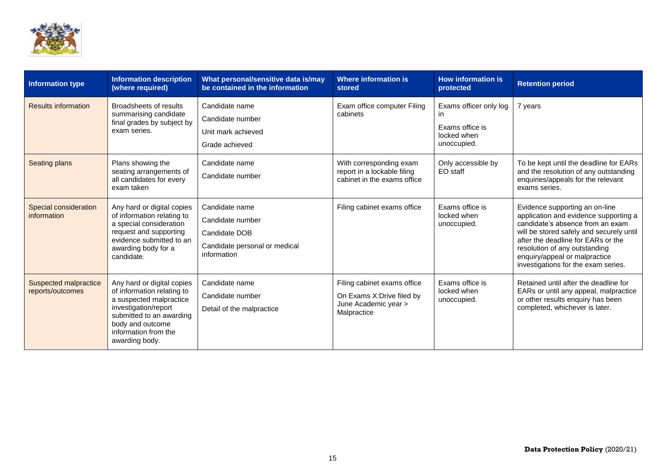

| <b>Information type</b>                     | <b>Information description</b><br>(where required)                                                                                                                                                    | What personal/sensitive data is/may<br>be contained in the information                              | Where information is<br>stored                                                                   | <b>How information is</b><br>protected                                         | <b>Retention period</b>                                                                                                                                                                                                                                                                                |
|---------------------------------------------|-------------------------------------------------------------------------------------------------------------------------------------------------------------------------------------------------------|-----------------------------------------------------------------------------------------------------|--------------------------------------------------------------------------------------------------|--------------------------------------------------------------------------------|--------------------------------------------------------------------------------------------------------------------------------------------------------------------------------------------------------------------------------------------------------------------------------------------------------|
| <b>Results information</b>                  | Broadsheets of results<br>summarising candidate<br>final grades by subject by<br>exam series.                                                                                                         | Candidate name<br>Candidate number<br>Unit mark achieved<br>Grade achieved                          | Exam office computer Filing<br>cabinets                                                          | Exams officer only log<br>in.<br>Exams office is<br>locked when<br>unoccupied. | 7 years                                                                                                                                                                                                                                                                                                |
| Seating plans                               | Plans showing the<br>seating arrangements of<br>all candidates for every<br>exam taken                                                                                                                | Candidate name<br>Candidate number                                                                  | With corresponding exam<br>report in a lockable filing<br>cabinet in the exams office            | Only accessible by<br>EO staff                                                 | To be kept until the deadline for EARs<br>and the resolution of any outstanding<br>enquiries/appeals for the relevant<br>exams series.                                                                                                                                                                 |
| <b>Special consideration</b><br>information | Any hard or digital copies<br>of information relating to<br>a special consideration<br>request and supporting<br>evidence submitted to an<br>awarding body for a<br>candidate.                        | Candidate name<br>Candidate number<br>Candidate DOB<br>Candidate personal or medical<br>information | Filing cabinet exams office                                                                      | Exams office is<br>locked when<br>unoccupied.                                  | Evidence supporting an on-line<br>application and evidence supporting a<br>candidate's absence from an exam<br>will be stored safely and securely until<br>after the deadline for EARs or the<br>resolution of any outstanding<br>enquiry/appeal or malpractice<br>investigations for the exam series. |
| Suspected malpractice<br>reports/outcomes   | Any hard or digital copies<br>of information relating to<br>a suspected malpractice<br>investigation/report<br>submitted to an awarding<br>body and outcome<br>information from the<br>awarding body. | Candidate name<br>Candidate number<br>Detail of the malpractice                                     | Filing cabinet exams office<br>On Exams X: Drive filed by<br>June Academic year ><br>Malpractice | Exams office is<br>locked when<br>unoccupied.                                  | Retained until after the deadline for<br>EARs or until any appeal, malpractice<br>or other results enquiry has been<br>completed, whichever is later.                                                                                                                                                  |